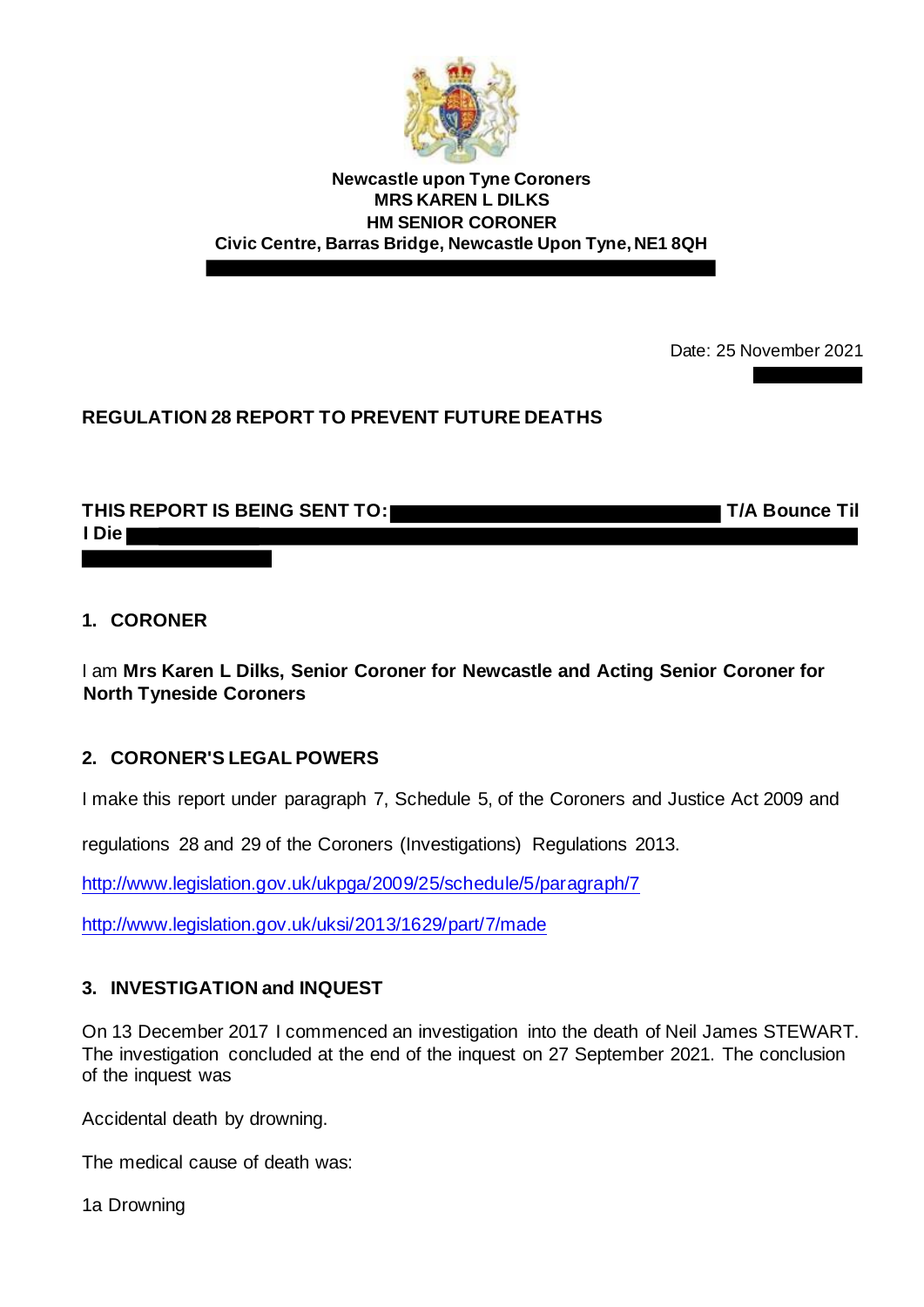

**Newcastle upon Tyne Coroners MRS KAREN L DILKS HM SENIOR CORONER Civic Centre, Barras Bridge, Newcastle Upon Tyne, NE1 8QH**

Date: 25 November 2021

## **REGULATION 28 REPORT TO PREVENT FUTURE DEATHS**

### THIS REPORT IS BEING SENT TO: THIS REPORT IS BEING SENT TO: **I Die**

#### **1. CORONER**

I am **Mrs Karen L Dilks, Senior Coroner for Newcastle and Acting Senior Coroner for North Tyneside Coroners**

### **2. CORONER'S LEGAL POWERS**

I make this report under paragraph 7, Schedule 5, of the Coroners and Justice Act 2009 and

regulations 28 and 29 of the Coroners (Investigations) Regulations 2013.

<http://www.legislation.gov.uk/ukpga/2009/25/schedule/5/paragraph/7>

<http://www.legislation.gov.uk/uksi/2013/1629/part/7/made>

### **3. INVESTIGATION and INQUEST**

On 13 December 2017 I commenced an investigation into the death of Neil James STEWART. The investigation concluded at the end of the inquest on 27 September 2021. The conclusion of the inquest was

Accidental death by drowning.

The medical cause of death was:

1a Drowning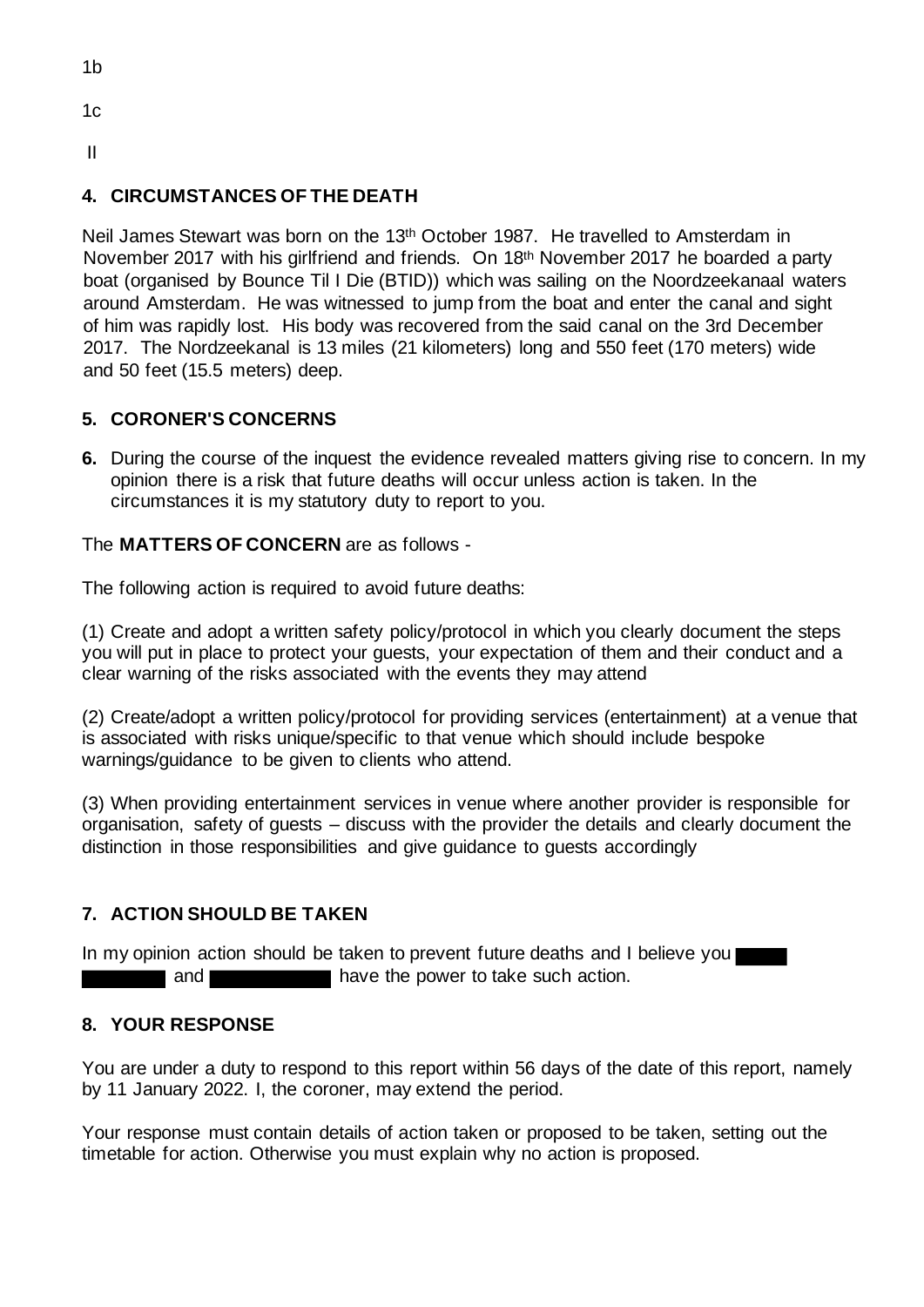1b

 $1c$ 

II

# **4. CIRCUMSTANCES OF THE DEATH**

Neil James Stewart was born on the 13th October 1987. He travelled to Amsterdam in November 2017 with his girlfriend and friends. On 18<sup>th</sup> November 2017 he boarded a party boat (organised by Bounce Til I Die (BTID)) which was sailing on the Noordzeekanaal waters around Amsterdam. He was witnessed to jump from the boat and enter the canal and sight of him was rapidly lost. His body was recovered from the said canal on the 3rd December 2017. The Nordzeekanal is 13 miles (21 kilometers) long and 550 feet (170 meters) wide and 50 feet (15.5 meters) deep.

# **5. CORONER'S CONCERNS**

**6.** During the course of the inquest the evidence revealed matters giving rise to concern. In my opinion there is a risk that future deaths will occur unless action is taken. In the circumstances it is my statutory duty to report to you.

### The **MATTERS OF CONCERN** are as follows -

The following action is required to avoid future deaths:

(1) Create and adopt a written safety policy/protocol in which you clearly document the steps you will put in place to protect your guests, your expectation of them and their conduct and a clear warning of the risks associated with the events they may attend

(2) Create/adopt a written policy/protocol for providing services (entertainment) at a venue that is associated with risks unique/specific to that venue which should include bespoke warnings/guidance to be given to clients who attend.

(3) When providing entertainment services in venue where another provider is responsible for organisation, safety of guests – discuss with the provider the details and clearly document the distinction in those responsibilities and give guidance to guests accordingly

## **7. ACTION SHOULD BE TAKEN**

In my opinion action should be taken to prevent future deaths and I believe you and **have the power to take such action.** 

### **8. YOUR RESPONSE**

You are under a duty to respond to this report within 56 days of the date of this report, namely by 11 January 2022. I, the coroner, may extend the period.

Your response must contain details of action taken or proposed to be taken, setting out the timetable for action. Otherwise you must explain why no action is proposed.